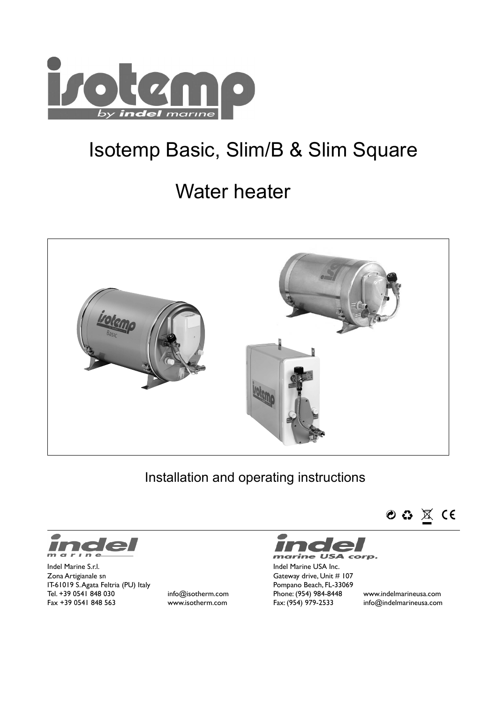

# Isotemp Basic, Slim/B & Slim Square

# Water heater



Installation and operating instructions



Indel Marine S.r.l. Zona Artigianale sn IT-61019 S. Agata Feltria (PU) Italy Tel. +39 0541 848 030 info@isotherm.com Fax +39 0541 848 563 www.isotherm.com



Indel Marine USA Inc. Gateway drive, Unit # 107 Pompano Beach, FL-33069<br>Phone: (954) 984-8448 Phone: (954) 984-8448 www.indelmarineusa.com<br>Fax: (954) 979-2533 info@indelmarineusa.com

info@indelmarineusa.com

 $0.3 \times C6$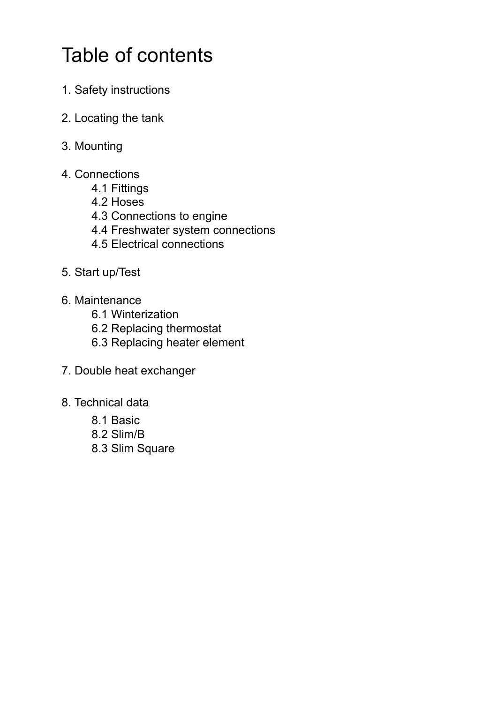# Table of contents

- 1. Safety instructions
- 2. Locating the tank
- 3. Mounting
- 4. Connections
	- 4.1 Fittings
	- 4.2 Hoses
	- 4.3 Connections to engine
	- 4.4 Freshwater system connections
	- 4.5 Electrical connections
- 5. Start up/Test
- 6. Maintenance
	- 6.1 Winterization
	- 6.2 Replacing thermostat
	- 6.3 Replacing heater element
- 7. Double heat exchanger
- 8. Technical data
	- 8.1 Basic
	- 8.2 Slim/B
	- 8.3 Slim Square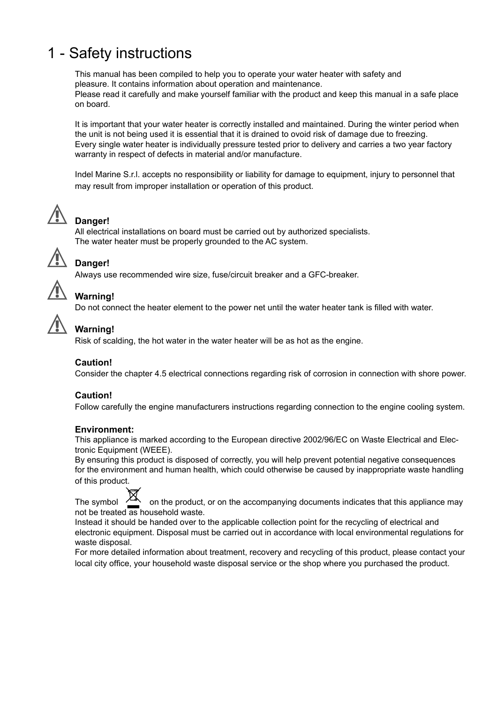# 1 - Safety instructions

This manual has been compiled to help you to operate your water heater with safety and pleasure. It contains information about operation and maintenance. Please read it carefully and make yourself familiar with the product and keep this manual in a safe place on board.

It is important that your water heater is correctly installed and maintained. During the winter period when the unit is not being used it is essential that it is drained to ovoid risk of damage due to freezing. Every single water heater is individually pressure tested prior to delivery and carries a two year factory warranty in respect of defects in material and/or manufacture.

Indel Marine S.r.l. accepts no responsibility or liability for damage to equipment, injury to personnel that may result from improper installation or operation of this product.



# **Danger!**

All electrical installations on board must be carried out by authorized specialists. The water heater must be properly grounded to the AC system.



#### **Danger!**

Always use recommended wire size, fuse/circuit breaker and a GFC-breaker.



#### **Warning!**

Do not connect the heater element to the power net until the water heater tank is filled with water.



#### **Warning!**

Risk of scalding, the hot water in the water heater will be as hot as the engine.

#### **Caution!**

Consider the chapter 4.5 electrical connections regarding risk of corrosion in connection with shore power.

#### **Caution!**

Follow carefully the engine manufacturers instructions regarding connection to the engine cooling system.

#### **Environment:**

This appliance is marked according to the European directive 2002/96/EC on Waste Electrical and Electronic Equipment (WEEE).

By ensuring this product is disposed of correctly, you will help prevent potential negative consequences for the environment and human health, which could otherwise be caused by inappropriate waste handling of this product.

The symbol  $\overline{\mathcal{B}}$  on the product, or on the accompanying documents indicates that this appliance may not be treated as household waste.

Instead it should be handed over to the applicable collection point for the recycling of electrical and electronic equipment. Disposal must be carried out in accordance with local environmental regulations for waste disposal.

For more detailed information about treatment, recovery and recycling of this product, please contact your local city office, your household waste disposal service or the shop where you purchased the product.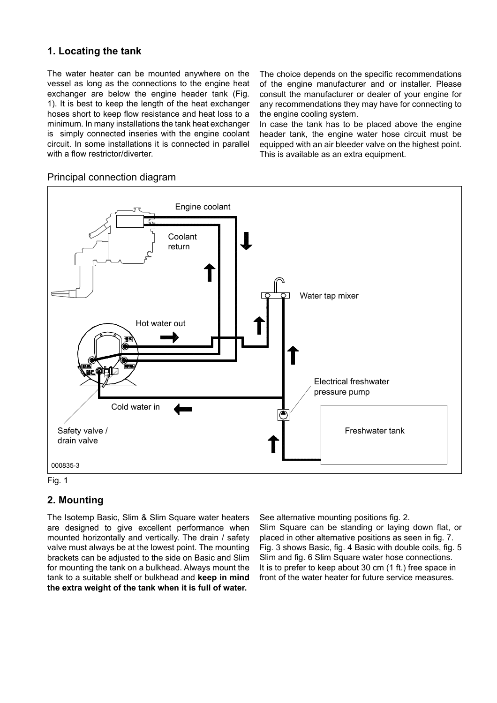#### **1. Locating the tank**

The water heater can be mounted anywhere on the vessel as long as the connections to the engine heat exchanger are below the engine header tank (Fig. 1). It is best to keep the length of the heat exchanger hoses short to keep flow resistance and heat loss to a minimum. In many installations the tank heat exchanger is simply connected inseries with the engine coolant circuit. In some installations it is connected in parallel with a flow restrictor/diverter.

The choice depends on the specific recommendations of the engine manufacturer and or installer. Please consult the manufacturer or dealer of your engine for any recommendations they may have for connecting to the engine cooling system.

In case the tank has to be placed above the engine header tank, the engine water hose circuit must be equipped with an air bleeder valve on the highest point. This is available as an extra equipment.



#### Principal connection diagram



The Isotemp Basic, Slim & Slim Square water heaters are designed to give excellent performance when mounted horizontally and vertically. The drain / safety valve must always be at the lowest point. The mounting brackets can be adjusted to the side on Basic and Slim for mounting the tank on a bulkhead. Always mount the tank to a suitable shelf or bulkhead and **keep in mind** 

**the extra weight of the tank when it is full of water.**

See alternative mounting positions fig. 2. Slim Square can be standing or laving down flat, or placed in other alternative positions as seen in fig.  $7.$ Fig. 3 shows Basic, fig. 4 Basic with double coils, fig. 5 Slim and fig. 6 Slim Square water hose connections. It is to prefer to keep about 30 cm (1 ft.) free space in front of the water heater for future service measures.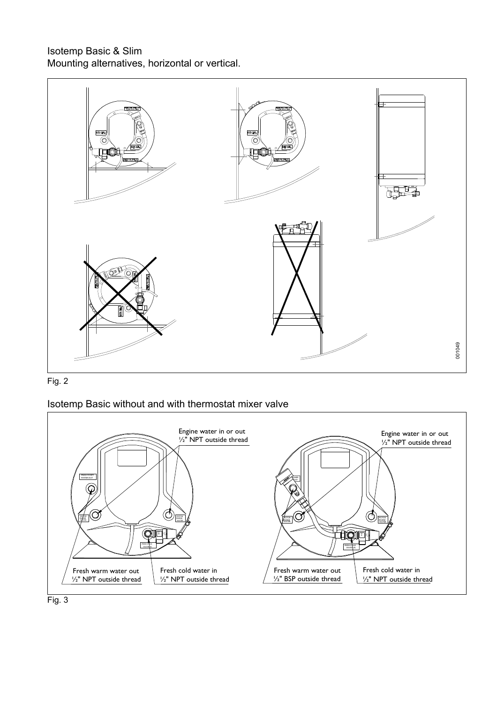Isotemp Basic & Slim Mounting alternatives, horizontal or vertical.





Isotemp Basic without and with thermostat mixer valve



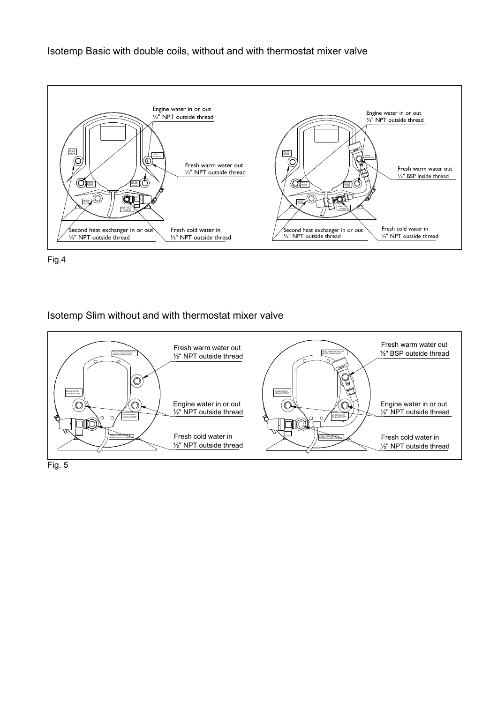Isotemp Basic with double coils, without and with thermostat mixer valve





### Isotemp Slim without and with thermostat mixer valve



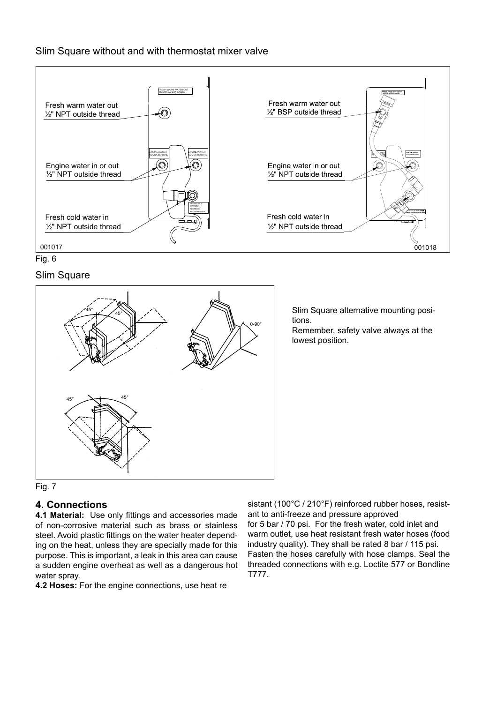#### Slim Square without and with thermostat mixer valve



Fig. 6

#### Slim Square



Fig. 7

#### **4. Connections**

4.1 Material: Use only fittings and accessories made of non-corrosive material such as brass or stainless steel. Avoid plastic fittings on the water heater depending on the heat, unless they are specially made for this purpose. This is important, a leak in this area can cause a sudden engine overheat as well as a dangerous hot water spray.

**4.2 Hoses:** For the engine connections, use heat re

Slim Square alternative mounting positions. Remember, safety valve always at the lowest position.

sistant (100°C / 210°F) reinforced rubber hoses, resistant to anti-freeze and pressure approved for 5 bar / 70 psi. For the fresh water, cold inlet and warm outlet, use heat resistant fresh water hoses (food industry quality). They shall be rated 8 bar / 115 psi. Fasten the hoses carefully with hose clamps. Seal the threaded connections with e.g. Loctite 577 or Bondline T777.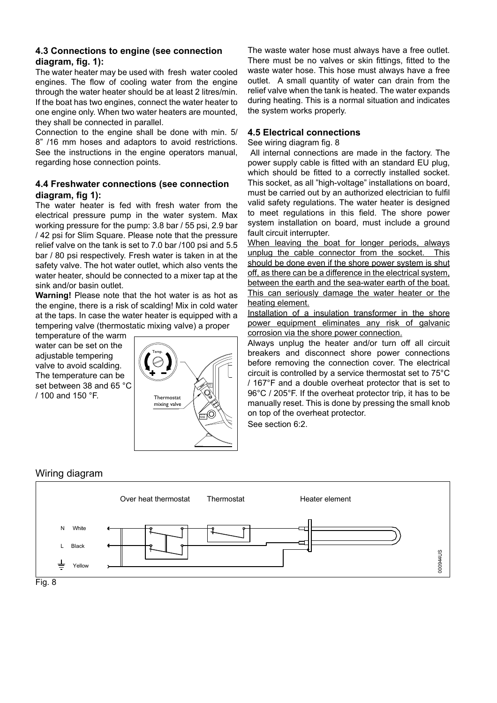#### **4.3 Connections to engine (see connection**  diagram, fig. 1):

The water heater may be used with fresh water cooled engines. The flow of cooling water from the engine through the water heater should be at least 2 litres/min. If the boat has two engines, connect the water heater to one engine only. When two water heaters are mounted, they shall be connected in parallel.

Connection to the engine shall be done with min. 5/ 8" /16 mm hoses and adaptors to avoid restrictions. See the instructions in the engine operators manual, regarding hose connection points.

#### **4.4 Freshwater connections (see connection**  diagram, fig 1):

The water heater is fed with fresh water from the electrical pressure pump in the water system. Max working pressure for the pump: 3.8 bar / 55 psi, 2.9 bar / 42 psi for Slim Square. Please note that the pressure relief valve on the tank is set to 7.0 bar /100 psi and 5.5 bar / 80 psi respectively. Fresh water is taken in at the safety valve. The hot water outlet, which also vents the water heater, should be connected to a mixer tap at the sink and/or basin outlet.

**Warning!** Please note that the hot water is as hot as the engine, there is a risk of scalding! Mix in cold water at the taps. In case the water heater is equipped with a tempering valve (thermostatic mixing valve) a proper

temperature of the warm water can be set on the adjustable tempering valve to avoid scalding. The temperature can be set between 38 and 65 °C / 100 and 150 °F.



The waste water hose must always have a free outlet. There must be no valves or skin fittings, fitted to the waste water hose. This hose must always have a free outlet. A small quantity of water can drain from the relief valve when the tank is heated. The water expands during heating. This is a normal situation and indicates the system works properly.

#### **4.5 Electrical connections**

See wiring diagram fig. 8

 All internal connections are made in the factory. The power supply cable is fitted with an standard EU plug, which should be fitted to a correctly installed socket. This socket, as all "high-voltage" installations on board, must be carried out by an authorized electrician to fulfil valid safety regulations. The water heater is designed to meet regulations in this field. The shore power system installation on board, must include a ground fault circuit interrupter.

When leaving the boat for longer periods, always unplug the cable connector from the socket. This should be done even if the shore power system is shut off, as there can be a difference in the electrical system, between the earth and the sea-water earth of the boat. This can seriously damage the water heater or the heating element.

Installation of a insulation transformer in the shore power equipment eliminates any risk of galvanic corrosion via the shore power connection.

Always unplug the heater and/or turn off all circuit breakers and disconnect shore power connections before removing the connection cover. The electrical circuit is controlled by a service thermostat set to 75°C / 167°F and a double overheat protector that is set to 96°C / 205°F. If the overheat protector trip, it has to be manually reset. This is done by pressing the small knob on top of the overheat protector.

See section 6:2. 514

#### Wiring diagram



Fig. 8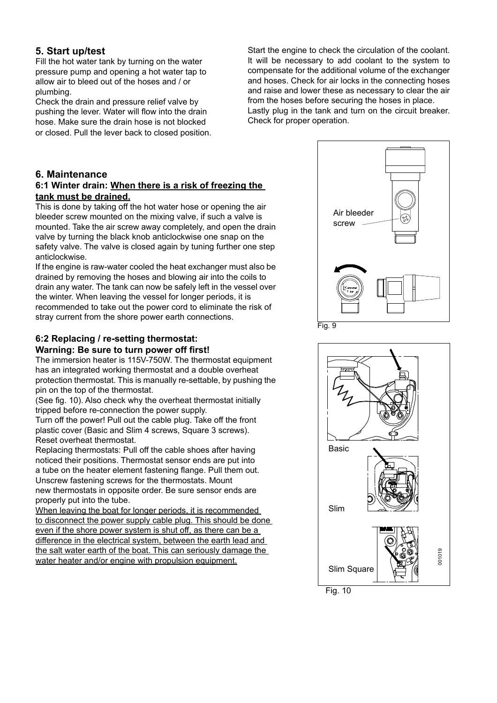#### **5. Start up/test**

Fill the hot water tank by turning on the water pressure pump and opening a hot water tap to allow air to bleed out of the hoses and / or plumbing.

Check the drain and pressure relief valve by pushing the lever. Water will flow into the drain hose. Make sure the drain hose is not blocked or closed. Pull the lever back to closed position.

Start the engine to check the circulation of the coolant. It will be necessary to add coolant to the system to compensate for the additional volume of the exchanger and hoses. Check for air locks in the connecting hoses and raise and lower these as necessary to clear the air from the hoses before securing the hoses in place. Lastly plug in the tank and turn on the circuit breaker. Check for proper operation.

#### **6. Maintenance 6:1 Winter drain: When there is a risk of freezing the tank must be drained.**

This is done by taking off the hot water hose or opening the air bleeder screw mounted on the mixing valve, if such a valve is mounted. Take the air screw away completely, and open the drain valve by turning the black knob anticlockwise one snap on the safety valve. The valve is closed again by tuning further one step anticlockwise.

If the engine is raw-water cooled the heat exchanger must also be drained by removing the hoses and blowing air into the coils to drain any water. The tank can now be safely left in the vessel over the winter. When leaving the vessel for longer periods, it is recommended to take out the power cord to eliminate the risk of stray current from the shore power earth connections.

#### **6:2 Replacing / re-setting thermostat: Warning: Be sure to turn power off first!**

The immersion heater is 115V-750W. The thermostat equipment has an integrated working thermostat and a double overheat protection thermostat. This is manually re-settable, by pushing the pin on the top of the thermostat.

(See fig. 10). Also check why the overheat thermostat initially tripped before re-connection the power supply.

Turn off the power! Pull out the cable plug. Take off the front plastic cover (Basic and Slim 4 screws, Square 3 screws). Reset overheat thermostat.

Replacing thermostats: Pull off the cable shoes after having noticed their positions. Thermostat sensor ends are put into a tube on the heater element fastening flange. Pull them out. Unscrew fastening screws for the thermostats. Mount new thermostats in opposite order. Be sure sensor ends are properly put into the tube.

When leaving the boat for longer periods, it is recommended to disconnect the power supply cable plug. This should be done even if the shore power system is shut off, as there can be a difference in the electrical system, between the earth lead and the salt water earth of the boat. This can seriously damage the water heater and/or engine with propulsion equipment.







 $\overline{Fiq}$ . 10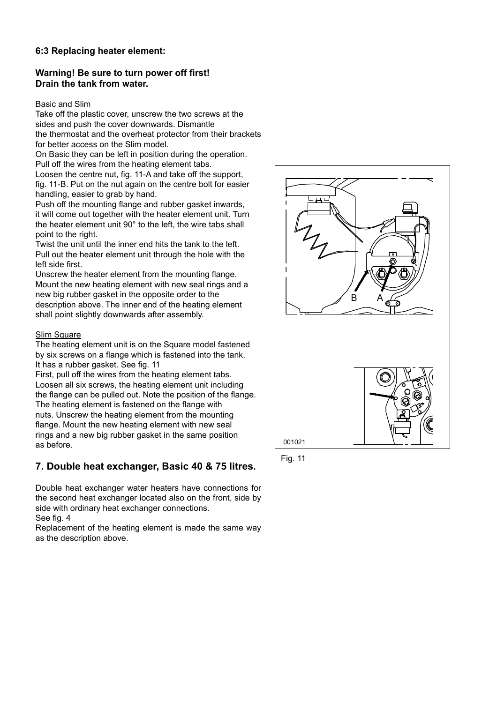#### **6:3 Replacing heater element:**

#### **Warning! Be sure to turn power off first! Drain the tank from water.**

#### Basic and Slim

Take off the plastic cover, unscrew the two screws at the sides and push the cover downwards. Dismantle the thermostat and the overheat protector from their brackets for better access on the Slim model.

On Basic they can be left in position during the operation. Pull off the wires from the heating element tabs.

Loosen the centre nut, fig. 11-A and take off the support, fig. 11-B. Put on the nut again on the centre bolt for easier handling, easier to grab by hand.

Push off the mounting flange and rubber gasket inwards, it will come out together with the heater element unit. Turn the heater element unit 90° to the left, the wire tabs shall point to the right.

Twist the unit until the inner end hits the tank to the left. Pull out the heater element unit through the hole with the left side first.

Unscrew the heater element from the mounting flange. Mount the new heating element with new seal rings and a new big rubber gasket in the opposite order to the description above. The inner end of the heating element shall point slightly downwards after assembly.

#### Slim Square

The heating element unit is on the Square model fastened by six screws on a flange which is fastened into the tank. It has a rubber gasket. See fig. 11

First, pull off the wires from the heating element tabs. Loosen all six screws, the heating element unit including the flange can be pulled out. Note the position of the flange. The heating element is fastened on the flange with nuts. Unscrew the heating element from the mounting flange. Mount the new heating element with new seal rings and a new big rubber gasket in the same position as before.

#### **7. Double heat exchanger, Basic 40 & 75 litres.**

Double heat exchanger water heaters have connections for the second heat exchanger located also on the front, side by side with ordinary heat exchanger connections.

See fig. 4

Replacement of the heating element is made the same way as the description above.



Fig. 11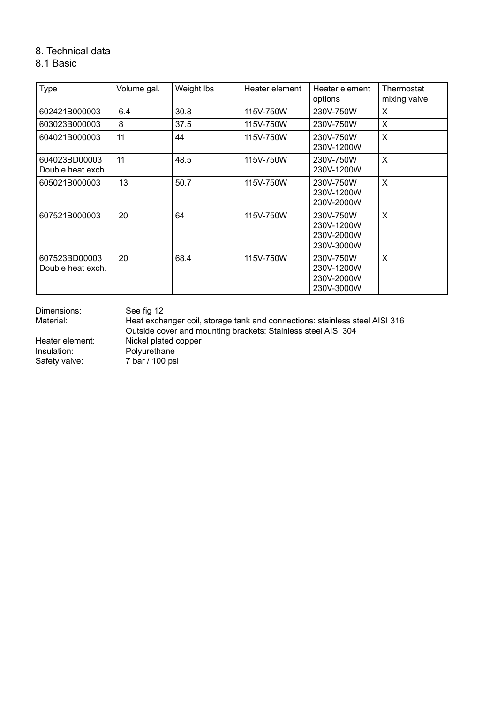## 8. Technical data

#### 8.1 Basic

| <b>Type</b>                        | Volume gal. | Weight lbs | Heater element | Heater element<br>options                           | Thermostat<br>mixing valve |
|------------------------------------|-------------|------------|----------------|-----------------------------------------------------|----------------------------|
| 602421B000003                      | 6.4         | 30.8       | 115V-750W      | 230V-750W                                           | X                          |
| 603023B000003                      | 8           | 37.5       | 115V-750W      | 230V-750W                                           | X                          |
| 604021B000003                      | 11          | 44         | 115V-750W      | 230V-750W<br>230V-1200W                             | X                          |
| 604023BD00003<br>Double heat exch. | 11          | 48.5       | 115V-750W      | 230V-750W<br>230V-1200W                             | X                          |
| 605021B000003                      | 13          | 50.7       | 115V-750W      | 230V-750W<br>230V-1200W<br>230V-2000W               | X                          |
| 607521B000003                      | 20          | 64         | 115V-750W      | 230V-750W<br>230V-1200W<br>230V-2000W<br>230V-3000W | X                          |
| 607523BD00003<br>Double heat exch. | 20          | 68.4       | 115V-750W      | 230V-750W<br>230V-1200W<br>230V-2000W<br>230V-3000W | X                          |

Dimensions: See fig 12<br>
Material: Heat exchannel

Insulation: Polyurethane

Material: **Heat exchanger coil, storage tank and connections: stainless steel AISI 316**  Outside cover and mounting brackets: Stainless steel AISI 304 Heater element: Nickel plated copper<br>
Insulation: Polyurethane Safety valve: 7 bar / 100 psi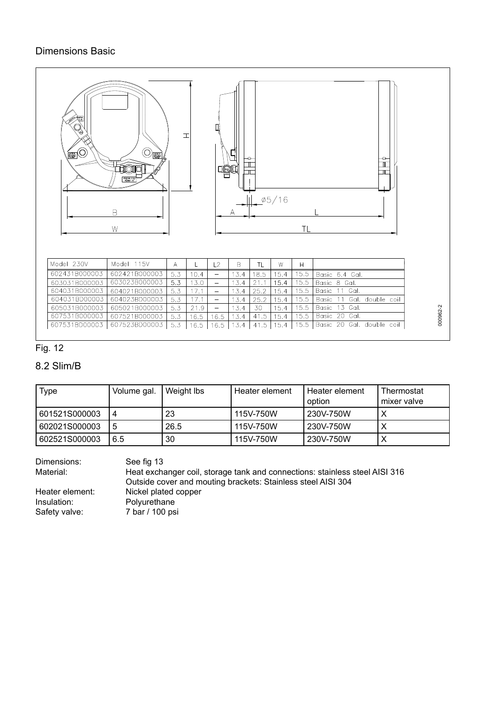### Dimensions Basic



| Model 230V    | Model 115V    | Α   |      |      | B     |           | W    | н    |                           |
|---------------|---------------|-----|------|------|-------|-----------|------|------|---------------------------|
| 602431B000003 | 602421B000003 | 5.3 | 10.4 |      | 13.4  | 8.5،      | 15.4 | 15.5 | Basic 6.4 Gal.            |
| 603031B000003 | 603023B000003 | 5.3 | 3.0  |      | 13.4  | $\cdot$ 1 | 15.4 | 15.5 | Basic 8 Gal.              |
| 604031B000003 | 604021B000003 | 5.3 | 17.1 |      | 1.3.4 | 25.2      | 15.4 | 15.5 | Basic 11 Gal.             |
| 604031BD00003 | 604023BD00003 | 5.3 |      |      | 13.4  | 25.2      | 15.4 | 15.5 | Basic 11 Gal. double coil |
| 605031B000003 | 605021B000003 | 5.3 | 21.9 |      | 1.3.4 | 30        | 15.4 | 15.5 | Basic 13 Gal.             |
| 607531B000003 | 607521B000003 | 5.3 | 16.5 | 16.5 | 13.4  | .5<br>41  | 15.4 | 15.5 | - Basic - 20 - Gal.       |
| 607531BD00003 | 607523BD00003 | 5.3 | 16.5 | 16.5 | 3.4   | 41.5      | 5.4  | 15.5 | Basic 20 Gal. double coil |

#### 000962-2 000962-2

# Fig. 12

## 8.2 Slim/B

| Type          | Volume gal. | Weight lbs | Heater element | Heater element<br>option | Thermostat<br>mixer valve |
|---------------|-------------|------------|----------------|--------------------------|---------------------------|
| 601521S000003 | 4           | 23         | 115V-750W      | 230V-750W                |                           |
| 602021S000003 | 5           | 26.5       | 115V-750W      | 230V-750W                |                           |
| 602521S000003 | 6.5         | 30         | 115V-750W      | 230V-750W                |                           |

| Dimensions:     | See fig 13                                                                  |
|-----------------|-----------------------------------------------------------------------------|
| Material:       | Heat exchanger coil, storage tank and connections: stainless steel AISI 316 |
|                 | Outside cover and mouting brackets: Stainless steel AISI 304                |
| Heater element: | Nickel plated copper                                                        |
| Insulation:     | Polyurethane                                                                |
| Safety valve:   | 7 bar / 100 psi                                                             |